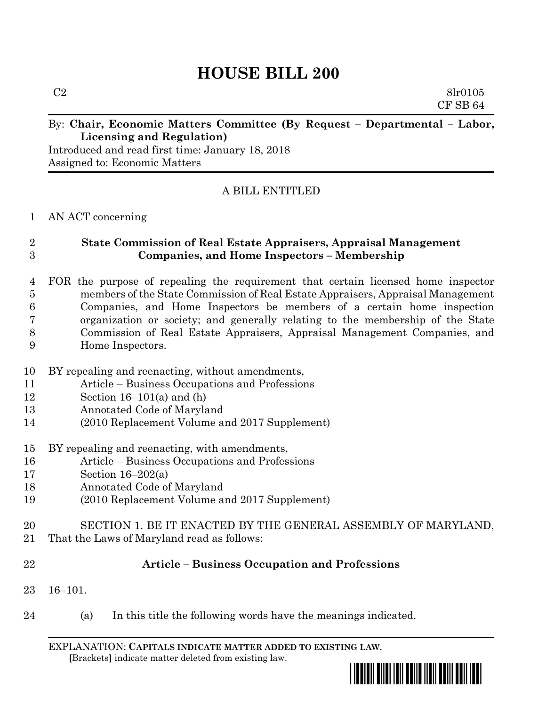# **HOUSE BILL 200**

 $C2 \hspace{1.5cm} 8\text{l}r0105$ CF SB 64

### By: **Chair, Economic Matters Committee (By Request – Departmental – Labor, Licensing and Regulation)**

Introduced and read first time: January 18, 2018 Assigned to: Economic Matters

# A BILL ENTITLED

#### AN ACT concerning

### **State Commission of Real Estate Appraisers, Appraisal Management Companies, and Home Inspectors – Membership**

#### FOR the purpose of repealing the requirement that certain licensed home inspector members of the State Commission of Real Estate Appraisers, Appraisal Management Companies, and Home Inspectors be members of a certain home inspection organization or society; and generally relating to the membership of the State Commission of Real Estate Appraisers, Appraisal Management Companies, and Home Inspectors.

- BY repealing and reenacting, without amendments,
- Article Business Occupations and Professions
- Section 16–101(a) and (h)
- Annotated Code of Maryland
- (2010 Replacement Volume and 2017 Supplement)
- BY repealing and reenacting, with amendments,
- Article Business Occupations and Professions
- Section 16–202(a)
- Annotated Code of Maryland
- (2010 Replacement Volume and 2017 Supplement)
- SECTION 1. BE IT ENACTED BY THE GENERAL ASSEMBLY OF MARYLAND,
- That the Laws of Maryland read as follows:
- 

# **Article – Business Occupation and Professions**

- 16–101.
- (a) In this title the following words have the meanings indicated.

EXPLANATION: **CAPITALS INDICATE MATTER ADDED TO EXISTING LAW**.  **[**Brackets**]** indicate matter deleted from existing law.